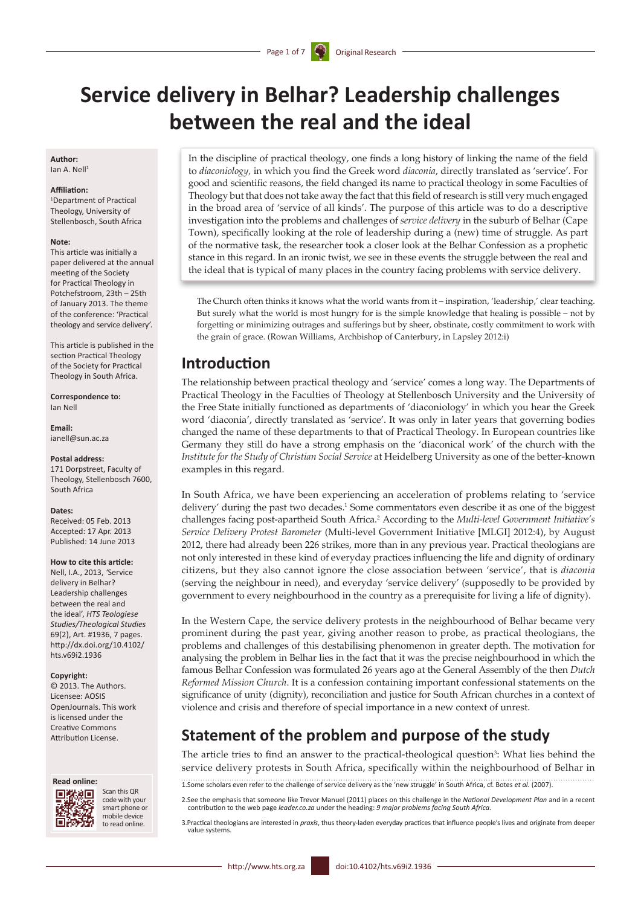# **Service delivery in Belhar? Leadership challenges between the real and the ideal**

#### **Author:** Ian A. Nell<sup>1</sup>

#### **Affiliation:**

1 Department of Practical Theology, University of Stellenbosch, South Africa

#### **Note:**

This article was initially a paper delivered at the annual meeting of the Society for Practical Theology in Potchefstroom, 23th – 25th of January 2013. The theme of the conference: 'Practical theology and service delivery'.

This article is published in the section Practical Theology of the Society for Practical Theology in South Africa.

**Correspondence to:** Ian Nell

**Email:** [ianell@sun.ac.za](mailto:ianell@sun.ac.za)

### **Postal address:**

171 Dorpstreet, Faculty of Theology, Stellenbosch 7600, South Africa

#### **Dates:**

Received: 05 Feb. 2013 Accepted: 17 Apr. 2013 Published: 14 June 2013

#### **How to cite this article:**

Nell, I.A., 2013, *'*Service delivery in Belhar? Leadership challenges between the real and the ideal', *HTS Teologiese Studies/Theological Studies* 69(2), Art. #1936, 7 pages. [http://dx.doi.org/10.4102/](http://dx.doi.org/10.4102/hts.v69i2.1936) [hts.v69i2.1936](http://dx.doi.org/10.4102/hts.v69i2.1936)

### **Copyright:**

© 2013. The Authors. Licensee: AOSIS OpenJournals. This work is licensed under the Creative Commons Attribution License.



Scan this QR code with your smart phone or mobile device to read online.

In the discipline of practical theology, one finds a long history of linking the name of the field to *diaconiology,* in which you find the Greek word *diaconia*, directly translated as 'service'. For good and scientific reasons, the field changed its name to practical theology in some Faculties of Theology but that does not take away the fact that this field of research is still very much engaged in the broad area of 'service of all kinds'. The purpose of this article was to do a descriptive investigation into the problems and challenges of *service delivery* in the suburb of Belhar (Cape Town), specifically looking at the role of leadership during a (new) time of struggle. As part of the normative task, the researcher took a closer look at the Belhar Confession as a prophetic stance in this regard. In an ironic twist, we see in these events the struggle between the real and the ideal that is typical of many places in the country facing problems with service delivery.

The Church often thinks it knows what the world wants from it – inspiration, 'leadership,' clear teaching. But surely what the world is most hungry for is the simple knowledge that healing is possible – not by forgetting or minimizing outrages and sufferings but by sheer, obstinate, costly commitment to work with the grain of grace. (Rowan Williams, Archbishop of Canterbury, in Lapsley 2012:i)

# **Introduction**

The relationship between practical theology and 'service' comes a long way. The Departments of Practical Theology in the Faculties of Theology at Stellenbosch University and the University of the Free State initially functioned as departments of 'diaconiology' in which you hear the Greek word 'diaconia', directly translated as 'service'. It was only in later years that governing bodies changed the name of these departments to that of Practical Theology. In European countries like Germany they still do have a strong emphasis on the 'diaconical work' of the church with the *Institute for the Study of Christian Social Service* at Heidelberg University as one of the better-known examples in this regard.

In South Africa, we have been experiencing an acceleration of problems relating to 'service delivery' during the past two decades.<sup>1</sup> Some commentators even describe it as one of the biggest challenges facing post-apartheid South Africa.2 According to the *Multi-level Government Initiative's Service Delivery Protest Barometer* (Multi-level Government Initiative [MLGI] 2012:4), by August 2012, there had already been 226 strikes, more than in any previous year. Practical theologians are not only interested in these kind of everyday practices influencing the life and dignity of ordinary citizens, but they also cannot ignore the close association between 'service', that is *diaconia* (serving the neighbour in need), and everyday 'service delivery' (supposedly to be provided by government to every neighbourhood in the country as a prerequisite for living a life of dignity).

In the Western Cape, the service delivery protests in the neighbourhood of Belhar became very prominent during the past year, giving another reason to probe, as practical theologians, the problems and challenges of this destabilising phenomenon in greater depth. The motivation for analysing the problem in Belhar lies in the fact that it was the precise neighbourhood in which the famous Belhar Confession was formulated 26 years ago at the General Assembly of the then *Dutch Reformed Mission Church*. It is a confession containing important confessional statements on the significance of unity (dignity), reconciliation and justice for South African churches in a context of violence and crisis and therefore of special importance in a new context of unrest.

# **Statement of the problem and purpose of the study**

The article tries to find an answer to the practical-theological question<sup>3</sup>: What lies behind the service delivery protests in South Africa, specifically within the neighbourhood of Belhar in

1.Some scholars even refer to the challenge of service delivery as the 'new struggle' in South Africa, cf. Botes *et al.* (2007).

2.See the emphasis that someone like Trevor Manuel (2011) places on this challenge in the *National Development Plan* and in a recent contribution to the web page *leader.co.za* under the heading: *9 major problems facing South Africa.*

3.Practical theologians are interested in *praxis*, thus theory-laden everyday practices that influence people's lives and originate from deeper value systems.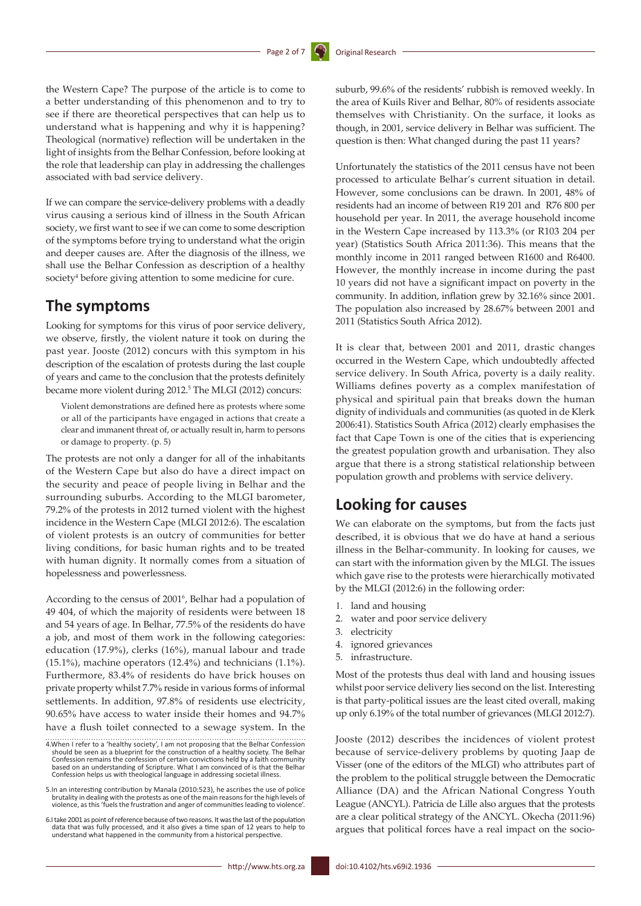the Western Cape? The purpose of the article is to come to a better understanding of this phenomenon and to try to see if there are theoretical perspectives that can help us to understand what is happening and why it is happening? Theological (normative) reflection will be undertaken in the light of insights from the Belhar Confession, before looking at the role that leadership can play in addressing the challenges associated with bad service delivery.

If we can compare the service-delivery problems with a deadly virus causing a serious kind of illness in the South African society, we first want to see if we can come to some description of the symptoms before trying to understand what the origin and deeper causes are. After the diagnosis of the illness, we shall use the Belhar Confession as description of a healthy society<sup>4</sup> before giving attention to some medicine for cure.

# **The symptoms**

Looking for symptoms for this virus of poor service delivery, we observe, firstly, the violent nature it took on during the past year. Jooste (2012) concurs with this symptom in his description of the escalation of protests during the last couple of years and came to the conclusion that the protests definitely became more violent during 2012.<sup>5</sup> The MLGI (2012) concurs:

Violent demonstrations are defined here as protests where some or all of the participants have engaged in actions that create a clear and immanent threat of, or actually result in, harm to persons or damage to property. (p. 5)

The protests are not only a danger for all of the inhabitants of the Western Cape but also do have a direct impact on the security and peace of people living in Belhar and the surrounding suburbs. According to the MLGI barometer, 79.2% of the protests in 2012 turned violent with the highest incidence in the Western Cape (MLGI 2012:6). The escalation of violent protests is an outcry of communities for better living conditions, for basic human rights and to be treated with human dignity. It normally comes from a situation of hopelessness and powerlessness.

According to the census of 2001<sup>6</sup>, Belhar had a population of 49 404, of which the majority of residents were between 18 and 54 years of age. In Belhar, 77.5% of the residents do have a job, and most of them work in the following categories: education (17.9%), clerks (16%), manual labour and trade (15.1%), machine operators (12.4%) and technicians (1.1%). Furthermore, 83.4% of residents do have brick houses on private property whilst 7.7% reside in various forms of informal settlements. In addition, 97.8% of residents use electricity, 90.65% have access to water inside their homes and 94.7% have a flush toilet connected to a sewage system. In the

- 5.In an interesting contribution by Manala (2010:523), he ascribes the use of police brutality in dealing with the protests as one of the main reasons for the high levels of violence, as this 'fuels the frustration and anger of communities leading to violence'.
- 6.I take 2001 as point of reference because of two reasons. It was the last of the population data that was fully processed, and it also gives a time span of 12 years to help to understand what happened in the community from a historical perspective.

suburb, 99.6% of the residents' rubbish is removed weekly. In the area of Kuils River and Belhar, 80% of residents associate themselves with Christianity. On the surface, it looks as though, in 2001, service delivery in Belhar was sufficient. The question is then: What changed during the past 11 years?

Unfortunately the statistics of the 2011 census have not been processed to articulate Belhar's current situation in detail. However, some conclusions can be drawn. In 2001, 48% of residents had an income of between R19 201 and R76 800 per household per year. In 2011, the average household income in the Western Cape increased by 113.3% (or R103 204 per year) (Statistics South Africa 2011:36). This means that the monthly income in 2011 ranged between R1600 and R6400. However, the monthly increase in income during the past 10 years did not have a significant impact on poverty in the community. In addition, inflation grew by 32.16% since 2001. The population also increased by 28.67% between 2001 and 2011 (Statistics South Africa 2012).

It is clear that, between 2001 and 2011, drastic changes occurred in the Western Cape, which undoubtedly affected service delivery. In South Africa, poverty is a daily reality. Williams defines poverty as a complex manifestation of physical and spiritual pain that breaks down the human dignity of individuals and communities (as quoted in de Klerk 2006:41). Statistics South Africa (2012) clearly emphasises the fact that Cape Town is one of the cities that is experiencing the greatest population growth and urbanisation. They also argue that there is a strong statistical relationship between population growth and problems with service delivery.

# **Looking for causes**

We can elaborate on the symptoms, but from the facts just described, it is obvious that we do have at hand a serious illness in the Belhar-community. In looking for causes, we can start with the information given by the MLGI. The issues which gave rise to the protests were hierarchically motivated by the MLGI (2012:6) in the following order:

- 1. land and housing
- 2. water and poor service delivery
- 3. electricity
- 4. ignored grievances
- 5. infrastructure.

Most of the protests thus deal with land and housing issues whilst poor service delivery lies second on the list. Interesting is that party-political issues are the least cited overall, making up only 6.19% of the total number of grievances (MLGI 2012:7).

Jooste (2012) describes the incidences of violent protest because of service-delivery problems by quoting Jaap de Visser (one of the editors of the MLGI) who attributes part of the problem to the political struggle between the Democratic Alliance (DA) and the African National Congress Youth League (ANCYL). Patricia de Lille also argues that the protests are a clear political strategy of the ANCYL. Okecha (2011:96) argues that political forces have a real impact on the socio-

<sup>4.</sup>When I refer to a 'healthy society', I am not proposing that the Belhar Confession should be seen as a blueprint for the construction of a healthy society. The Belhar Confession remains the confession of certain convictions held by a faith community<br>based on an understanding of Scripture. What I am convinced of is that the Belhar<br>Confession helps us with theological language in addressi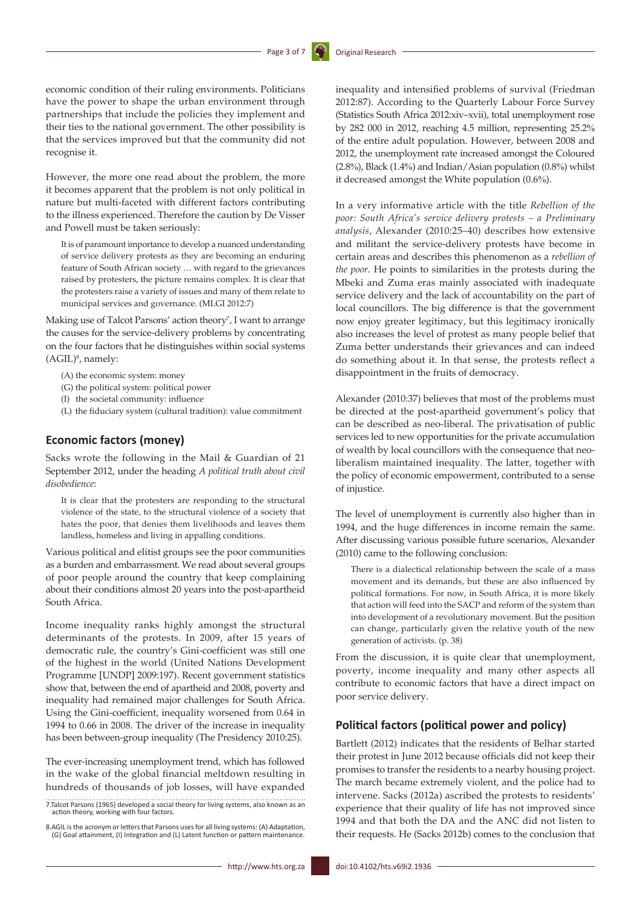economic condition of their ruling environments. Politicians have the power to shape the urban environment through partnerships that include the policies they implement and their ties to the national government. The other possibility is that the services improved but that the community did not recognise it.

However, the more one read about the problem, the more it becomes apparent that the problem is not only political in nature but multi-faceted with different factors contributing to the illness experienced. Therefore the caution by De Visser and Powell must be taken seriously:

It is of paramount importance to develop a nuanced understanding of service delivery protests as they are becoming an enduring feature of South African society … with regard to the grievances raised by protesters, the picture remains complex. It is clear that the protesters raise a variety of issues and many of them relate to municipal services and governance. (MLGI 2012:7)

Making use of Talcot Parsons' action theory<sup>7</sup>, I want to arrange the causes for the service-delivery problems by concentrating on the four factors that he distinguishes within social systems  $(AGIL)^8$ , namely:

- (A) the economic system: money
- (G) the political system: political power
- (I) the societal community: influence
- (L) the fiduciary system (cultural tradition): value commitment

### **Economic factors (money)**

Sacks wrote the following in the Mail & Guardian of 21 September 2012, under the heading *A political truth about civil disobedience*:

It is clear that the protesters are responding to the structural violence of the state, to the structural violence of a society that hates the poor, that denies them livelihoods and leaves them landless, homeless and living in appalling conditions.

Various political and elitist groups see the poor communities as a burden and embarrassment. We read about several groups of poor people around the country that keep complaining about their conditions almost 20 years into the post-apartheid South Africa.

Income inequality ranks highly amongst the structural determinants of the protests. In 2009, after 15 years of democratic rule, the country's Gini-coefficient was still one of the highest in the world (United Nations Development Programme [UNDP] 2009:197). Recent government statistics show that, between the end of apartheid and 2008, poverty and inequality had remained major challenges for South Africa. Using the Gini-coefficient, inequality worsened from 0.64 in 1994 to 0.66 in 2008. The driver of the increase in inequality has been between-group inequality (The Presidency 2010:25).

The ever-increasing unemployment trend, which has followed in the wake of the global financial meltdown resulting in hundreds of thousands of job losses, will have expanded

inequality and intensified problems of survival (Friedman 2012:87). According to the Quarterly Labour Force Survey (Statistics South Africa 2012:xiv–xvii), total unemployment rose by 282 000 in 2012, reaching 4.5 million, representing 25.2% of the entire adult population. However, between 2008 and 2012, the unemployment rate increased amongst the Coloured (2.8%), Black (1.4%) and Indian/Asian population (0.8%) whilst it decreased amongst the White population (0.6%).

In a very informative article with the title *Rebellion of the poor: South Africa's service delivery protests – a Preliminary analysis*, Alexander (2010:25–40) describes how extensive and militant the service-delivery protests have become in certain areas and describes this phenomenon as a *rebellion of the poor*. He points to similarities in the protests during the Mbeki and Zuma eras mainly associated with inadequate service delivery and the lack of accountability on the part of local councillors. The big difference is that the government now enjoy greater legitimacy, but this legitimacy ironically also increases the level of protest as many people belief that Zuma better understands their grievances and can indeed do something about it. In that sense, the protests reflect a disappointment in the fruits of democracy.

Alexander (2010:37) believes that most of the problems must be directed at the post-apartheid government's policy that can be described as neo-liberal. The privatisation of public services led to new opportunities for the private accumulation of wealth by local councillors with the consequence that neoliberalism maintained inequality. The latter, together with the policy of economic empowerment, contributed to a sense of injustice.

The level of unemployment is currently also higher than in 1994, and the huge differences in income remain the same. After discussing various possible future scenarios, Alexander (2010) came to the following conclusion:

There is a dialectical relationship between the scale of a mass movement and its demands, but these are also influenced by political formations. For now, in South Africa, it is more likely that action will feed into the SACP and reform of the system than into development of a revolutionary movement. But the position can change, particularly given the relative youth of the new generation of activists. (p. 38)

From the discussion, it is quite clear that unemployment, poverty, income inequality and many other aspects all contribute to economic factors that have a direct impact on poor service delivery.

### **Political factors (political power and policy)**

Bartlett (2012) indicates that the residents of Belhar started their protest in June 2012 because officials did not keep their promises to transfer the residents to a nearby housing project. The march became extremely violent, and the police had to intervene. Sacks (2012a) ascribed the protests to residents' experience that their quality of life has not improved since 1994 and that both the DA and the ANC did not listen to their requests. He (Sacks 2012b) comes to the conclusion that

<sup>7.</sup>Talcot Parsons (1965) developed a social theory for living systems, also known as an action theory, working with four factors.

<sup>8.</sup>AGIL is the acronym or letters that Parsons uses for all living systems: (A) Adaptation, (G) Goal attainment, (I) Integration and (L) Latent function or pattern maintenance.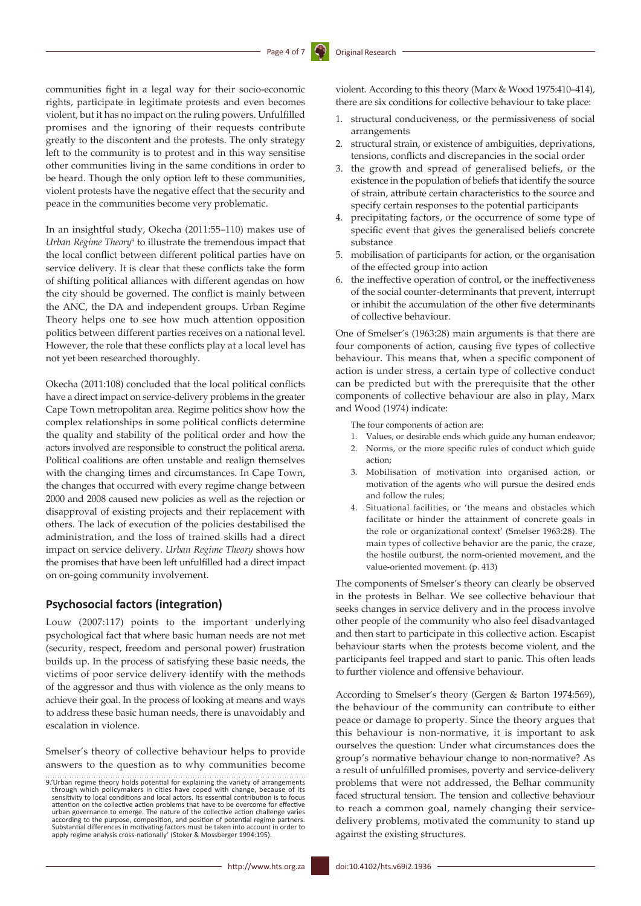communities fight in a legal way for their socio-economic rights, participate in legitimate protests and even becomes violent, but it has no impact on the ruling powers. Unfulfilled promises and the ignoring of their requests contribute greatly to the discontent and the protests. The only strategy left to the community is to protest and in this way sensitise other communities living in the same conditions in order to be heard. Though the only option left to these communities, violent protests have the negative effect that the security and peace in the communities become very problematic.

In an insightful study, Okecha (2011:55–110) makes use of *Urban Regime Theory*<sup>9</sup> to illustrate the tremendous impact that the local conflict between different political parties have on service delivery. It is clear that these conflicts take the form of shifting political alliances with different agendas on how the city should be governed. The conflict is mainly between the ANC, the DA and independent groups. Urban Regime Theory helps one to see how much attention opposition politics between different parties receives on a national level. However, the role that these conflicts play at a local level has not yet been researched thoroughly.

Okecha (2011:108) concluded that the local political conflicts have a direct impact on service-delivery problems in the greater Cape Town metropolitan area. Regime politics show how the complex relationships in some political conflicts determine the quality and stability of the political order and how the actors involved are responsible to construct the political arena. Political coalitions are often unstable and realign themselves with the changing times and circumstances. In Cape Town, the changes that occurred with every regime change between 2000 and 2008 caused new policies as well as the rejection or disapproval of existing projects and their replacement with others. The lack of execution of the policies destabilised the administration, and the loss of trained skills had a direct impact on service delivery. *Urban Regime Theory* shows how the promises that have been left unfulfilled had a direct impact on on-going community involvement.

### **Psychosocial factors (integration)**

Louw (2007:117) points to the important underlying psychological fact that where basic human needs are not met (security, respect, freedom and personal power) frustration builds up. In the process of satisfying these basic needs, the victims of poor service delivery identify with the methods of the aggressor and thus with violence as the only means to achieve their goal. In the process of looking at means and ways to address these basic human needs, there is unavoidably and escalation in violence.

Smelser's theory of collective behaviour helps to provide answers to the question as to why communities become violent. According to this theory (Marx & Wood 1975:410–414), there are six conditions for collective behaviour to take place:

- 1. structural conduciveness, or the permissiveness of social arrangements
- 2. structural strain, or existence of ambiguities, deprivations, tensions, conflicts and discrepancies in the social order
- 3. the growth and spread of generalised beliefs, or the existence in the population of beliefs that identify the source of strain, attribute certain characteristics to the source and specify certain responses to the potential participants
- 4. precipitating factors, or the occurrence of some type of specific event that gives the generalised beliefs concrete substance
- 5. mobilisation of participants for action, or the organisation of the effected group into action
- 6. the ineffective operation of control, or the ineffectiveness of the social counter-determinants that prevent, interrupt or inhibit the accumulation of the other five determinants of collective behaviour.

One of Smelser's (1963:28) main arguments is that there are four components of action, causing five types of collective behaviour. This means that, when a specific component of action is under stress, a certain type of collective conduct can be predicted but with the prerequisite that the other components of collective behaviour are also in play, Marx and Wood (1974) indicate:

The four components of action are:

- 1. Values, or desirable ends which guide any human endeavor;
- 2. Norms, or the more specific rules of conduct which guide action;
- 3. Mobilisation of motivation into organised action, or motivation of the agents who will pursue the desired ends and follow the rules;
- 4. Situational facilities, or 'the means and obstacles which facilitate or hinder the attainment of concrete goals in the role or organizational context' (Smelser 1963:28). The main types of collective behavior are the panic, the craze, the hostile outburst, the norm-oriented movement, and the value-oriented movement. (p. 413)

The components of Smelser's theory can clearly be observed in the protests in Belhar. We see collective behaviour that seeks changes in service delivery and in the process involve other people of the community who also feel disadvantaged and then start to participate in this collective action. Escapist behaviour starts when the protests become violent, and the participants feel trapped and start to panic. This often leads to further violence and offensive behaviour.

According to Smelser's theory (Gergen & Barton 1974:569), the behaviour of the community can contribute to either peace or damage to property. Since the theory argues that this behaviour is non-normative, it is important to ask ourselves the question: Under what circumstances does the group's normative behaviour change to non-normative? As a result of unfulfilled promises, poverty and service-delivery problems that were not addressed, the Belhar community faced structural tension. The tension and collective behaviour to reach a common goal, namely changing their servicedelivery problems, motivated the community to stand up against the existing structures.

<sup>9.&#</sup>x27;Urban regime theory holds potential for explaining the variety of arrangements<br>through which policymakers in cities have coped with change, because of its<br>sensitivity to local conditions and local actors. Its essential attention on the collective action problems that have to be overcome for effective urban governance to emerge. The nature of the collective action challenge varies according to the purpose, composition, and position of potential regime partners.<br>Substantial differences in motivating factors must be taken into account in order to<br>apply regime analysis cross-nationally' (Stoker & Mossb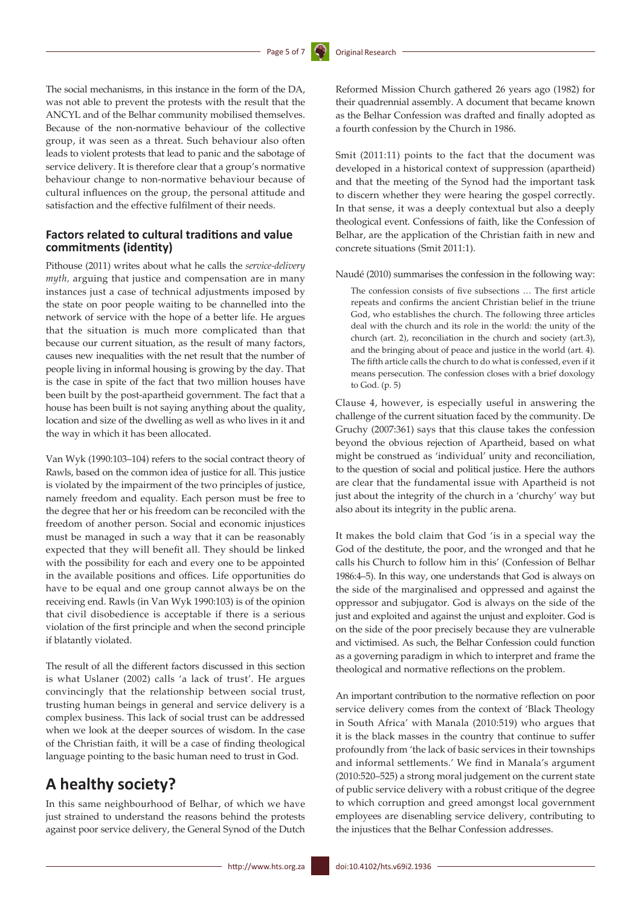The social mechanisms, in this instance in the form of the DA, was not able to prevent the protests with the result that the ANCYL and of the Belhar community mobilised themselves. Because of the non-normative behaviour of the collective group, it was seen as a threat. Such behaviour also often leads to violent protests that lead to panic and the sabotage of service delivery. It is therefore clear that a group's normative behaviour change to non-normative behaviour because of cultural influences on the group, the personal attitude and satisfaction and the effective fulfilment of their needs.

### **Factors related to cultural traditions and value commitments (identity)**

Pithouse (2011) writes about what he calls the *service-delivery myth,* arguing that justice and compensation are in many instances just a case of technical adjustments imposed by the state on poor people waiting to be channelled into the network of service with the hope of a better life. He argues that the situation is much more complicated than that because our current situation, as the result of many factors, causes new inequalities with the net result that the number of people living in informal housing is growing by the day. That is the case in spite of the fact that two million houses have been built by the post-apartheid government. The fact that a house has been built is not saying anything about the quality, location and size of the dwelling as well as who lives in it and the way in which it has been allocated.

Van Wyk (1990:103–104) refers to the social contract theory of Rawls, based on the common idea of justice for all. This justice is violated by the impairment of the two principles of justice, namely freedom and equality. Each person must be free to the degree that her or his freedom can be reconciled with the freedom of another person. Social and economic injustices must be managed in such a way that it can be reasonably expected that they will benefit all. They should be linked with the possibility for each and every one to be appointed in the available positions and offices. Life opportunities do have to be equal and one group cannot always be on the receiving end. Rawls (in Van Wyk 1990:103) is of the opinion that civil disobedience is acceptable if there is a serious violation of the first principle and when the second principle if blatantly violated.

The result of all the different factors discussed in this section is what Uslaner (2002) calls 'a lack of trust'. He argues convincingly that the relationship between social trust, trusting human beings in general and service delivery is a complex business. This lack of social trust can be addressed when we look at the deeper sources of wisdom. In the case of the Christian faith, it will be a case of finding theological language pointing to the basic human need to trust in God.

# **A healthy society?**

In this same neighbourhood of Belhar, of which we have just strained to understand the reasons behind the protests against poor service delivery, the General Synod of the Dutch Reformed Mission Church gathered 26 years ago (1982) for their quadrennial assembly. A document that became known as the Belhar Confession was drafted and finally adopted as a fourth confession by the Church in 1986.

Smit (2011:11) points to the fact that the document was developed in a historical context of suppression (apartheid) and that the meeting of the Synod had the important task to discern whether they were hearing the gospel correctly. In that sense, it was a deeply contextual but also a deeply theological event. Confessions of faith, like the Confession of Belhar, are the application of the Christian faith in new and concrete situations (Smit 2011:1).

Naudé (2010) summarises the confession in the following way:

The confession consists of five subsections … The first article repeats and confirms the ancient Christian belief in the triune God, who establishes the church. The following three articles deal with the church and its role in the world: the unity of the church (art. 2), reconciliation in the church and society (art.3), and the bringing about of peace and justice in the world (art. 4). The fifth article calls the church to do what is confessed, even if it means persecution. The confession closes with a brief doxology to God. (p. 5)

Clause 4, however, is especially useful in answering the challenge of the current situation faced by the community. De Gruchy (2007:361) says that this clause takes the confession beyond the obvious rejection of Apartheid, based on what might be construed as 'individual' unity and reconciliation, to the question of social and political justice. Here the authors are clear that the fundamental issue with Apartheid is not just about the integrity of the church in a 'churchy' way but also about its integrity in the public arena.

It makes the bold claim that God 'is in a special way the God of the destitute, the poor, and the wronged and that he calls his Church to follow him in this' (Confession of Belhar 1986:4–5). In this way, one understands that God is always on the side of the marginalised and oppressed and against the oppressor and subjugator. God is always on the side of the just and exploited and against the unjust and exploiter. God is on the side of the poor precisely because they are vulnerable and victimised. As such, the Belhar Confession could function as a governing paradigm in which to interpret and frame the theological and normative reflections on the problem.

An important contribution to the normative reflection on poor service delivery comes from the context of 'Black Theology in South Africa' with Manala (2010:519) who argues that it is the black masses in the country that continue to suffer profoundly from 'the lack of basic services in their townships and informal settlements.' We find in Manala's argument (2010:520–525) a strong moral judgement on the current state of public service delivery with a robust critique of the degree to which corruption and greed amongst local government employees are disenabling service delivery, contributing to the injustices that the Belhar Confession addresses.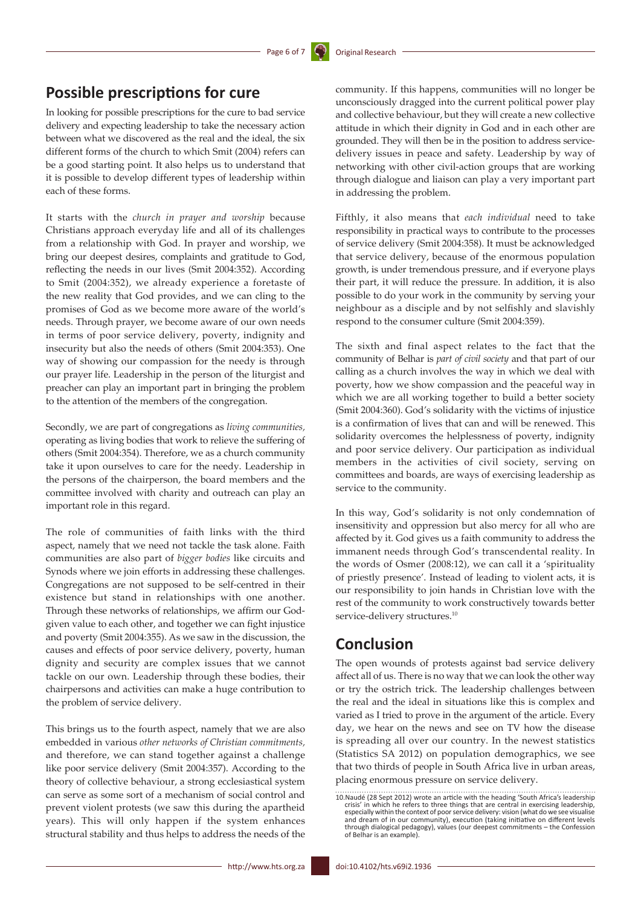# **Possible prescriptions for cure**

In looking for possible prescriptions for the cure to bad service delivery and expecting leadership to take the necessary action between what we discovered as the real and the ideal, the six different forms of the church to which Smit (2004) refers can be a good starting point. It also helps us to understand that it is possible to develop different types of leadership within each of these forms.

It starts with the *church in prayer and worship* because Christians approach everyday life and all of its challenges from a relationship with God. In prayer and worship, we bring our deepest desires, complaints and gratitude to God, reflecting the needs in our lives (Smit 2004:352). According to Smit (2004:352), we already experience a foretaste of the new reality that God provides, and we can cling to the promises of God as we become more aware of the world's needs. Through prayer, we become aware of our own needs in terms of poor service delivery, poverty, indignity and insecurity but also the needs of others (Smit 2004:353). One way of showing our compassion for the needy is through our prayer life. Leadership in the person of the liturgist and preacher can play an important part in bringing the problem to the attention of the members of the congregation.

Secondly, we are part of congregations as *living communities,* operating as living bodies that work to relieve the suffering of others (Smit 2004:354). Therefore, we as a church community take it upon ourselves to care for the needy. Leadership in the persons of the chairperson, the board members and the committee involved with charity and outreach can play an important role in this regard.

The role of communities of faith links with the third aspect, namely that we need not tackle the task alone. Faith communities are also part of *bigger bodies* like circuits and Synods where we join efforts in addressing these challenges. Congregations are not supposed to be self-centred in their existence but stand in relationships with one another. Through these networks of relationships, we affirm our Godgiven value to each other, and together we can fight injustice and poverty (Smit 2004:355). As we saw in the discussion, the causes and effects of poor service delivery, poverty, human dignity and security are complex issues that we cannot tackle on our own. Leadership through these bodies, their chairpersons and activities can make a huge contribution to the problem of service delivery.

This brings us to the fourth aspect, namely that we are also embedded in various *other networks of Christian commitments,* and therefore, we can stand together against a challenge like poor service delivery (Smit 2004:357). According to the theory of collective behaviour, a strong ecclesiastical system can serve as some sort of a mechanism of social control and prevent violent protests (we saw this during the apartheid years). This will only happen if the system enhances structural stability and thus helps to address the needs of the

community. If this happens, communities will no longer be unconsciously dragged into the current political power play and collective behaviour, but they will create a new collective attitude in which their dignity in God and in each other are grounded. They will then be in the position to address servicedelivery issues in peace and safety. Leadership by way of networking with other civil-action groups that are working through dialogue and liaison can play a very important part in addressing the problem.

Fifthly, it also means that *each individual* need to take responsibility in practical ways to contribute to the processes of service delivery (Smit 2004:358). It must be acknowledged that service delivery, because of the enormous population growth, is under tremendous pressure, and if everyone plays their part, it will reduce the pressure. In addition, it is also possible to do your work in the community by serving your neighbour as a disciple and by not selfishly and slavishly respond to the consumer culture (Smit 2004:359).

The sixth and final aspect relates to the fact that the community of Belhar is *part of civil society* and that part of our calling as a church involves the way in which we deal with poverty, how we show compassion and the peaceful way in which we are all working together to build a better society (Smit 2004:360). God's solidarity with the victims of injustice is a confirmation of lives that can and will be renewed. This solidarity overcomes the helplessness of poverty, indignity and poor service delivery. Our participation as individual members in the activities of civil society, serving on committees and boards, are ways of exercising leadership as service to the community.

In this way, God's solidarity is not only condemnation of insensitivity and oppression but also mercy for all who are affected by it. God gives us a faith community to address the immanent needs through God's transcendental reality. In the words of Osmer (2008:12), we can call it a 'spirituality of priestly presence'. Instead of leading to violent acts, it is our responsibility to join hands in Christian love with the rest of the community to work constructively towards better service-delivery structures.<sup>10</sup>

# **Conclusion**

The open wounds of protests against bad service delivery affect all of us. There is no way that we can look the other way or try the ostrich trick. The leadership challenges between the real and the ideal in situations like this is complex and varied as I tried to prove in the argument of the article. Every day, we hear on the news and see on TV how the disease is spreading all over our country. In the newest statistics (Statistics SA 2012) on population demographics, we see that two thirds of people in South Africa live in urban areas, placing enormous pressure on service delivery.

<sup>10.</sup>Naudé (28 Sept 2012) wrote an article with the heading 'South Africa's leadership crisis' in which he refers to three things that are central in exercising leadership,<br>especially within the context of poor service delivery: vision (what do we see visualise<br>and dream of in our community), execution (taki of Belhar is an example).